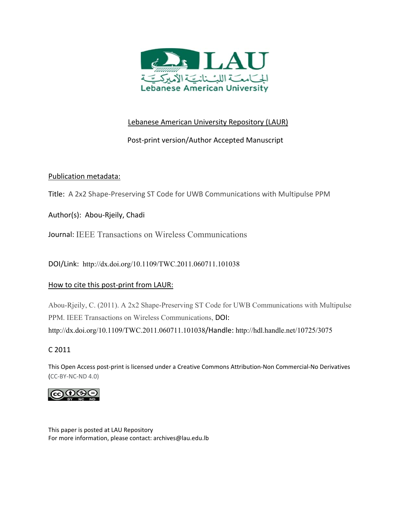

# Lebanese American University Repository (LAUR)

# Post‐print version/Author Accepted Manuscript

# Publication metadata:

Title: A 2x2 Shape‐Preserving ST Code for UWB Communications with Multipulse PPM

Author(s): Abou‐Rjeily, Chadi

Journal: IEEE Transactions on Wireless Communications

DOI/Link: http://dx.doi.org/10.1109/TWC.2011.060711.101038

## How to cite this post-print from LAUR:

Abou-Rjeily, C. (2011). A 2x2 Shape-Preserving ST Code for UWB Communications with Multipulse PPM. IEEE Transactions on Wireless Communications, DOI:

http://dx.doi.org/10.1109/TWC.2011.060711.101038/Handle: http://hdl.handle.net/10725/3075

# C 2011

This Open Access post‐print is licensed under a Creative Commons Attribution‐Non Commercial‐No Derivatives (CC‐BY‐NC‐ND 4.0)



This paper is posted at LAU Repository For more information, please contact: archives@lau.edu.lb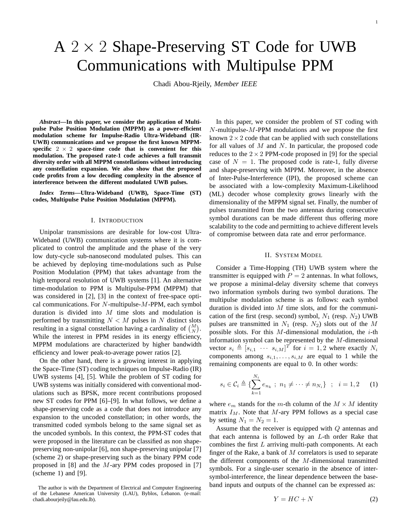# $A$  2  $\times$  2 Shape-Preserving ST Code for UWB Communications with Multipulse PPM

Chadi Abou-Rjeily, *Member IEEE*

*Abstract***—In this paper, we consider the application of Multipulse Pulse Position Modulation (MPPM) as a power-efficient modulation scheme for Impulse-Radio Ultra-Wideband (IR-UWB) communications and we propose the first known MPPM**specific  $2 \times 2$  space-time code that is convenient for this **modulation. The proposed rate-1 code achieves a full transmit diversity order with all MPPM constellations without introducing any constellation expansion. We also show that the proposed code profits from a low decoding complexity in the absence of interference between the different modulated UWB pulses.**

*Index Terms***—Ultra-Wideband (UWB), Space-Time (ST) codes, Multipulse Pulse Position Modulation (MPPM).**

#### I. INTRODUCTION

Unipolar transmissions are desirable for low-cost Ultra-Wideband (UWB) communication systems where it is complicated to control the amplitude and the phase of the very low duty-cycle sub-nanosecond modulated pulses. This can be achieved by deploying time-modulations such as Pulse Position Modulation (PPM) that takes advantage from the high temporal resolution of UWB systems [1]. An alternative time-modulation to PPM is Multipulse-PPM (MPPM) that was considered in [2], [3] in the context of free-space optical communications. For  $N$ -multipulse- $M$ -PPM, each symbol duration is divided into  $M$  time slots and modulation is performed by transmitting  $N < M$  pulses in N distinct slots resulting in a signal constellation having a cardinality of  $\binom{M}{N}$ . While the interest in PPM resides in its energy efficiency, MPPM modulations are characterized by higher bandwidth efficiency and lower peak-to-average power ratios [2].

On the other hand, there is a growing interest in applying the Space-Time (ST) coding techniques on Impulse-Radio (IR) UWB systems [4], [5]. While the problem of ST coding for UWB systems was initially considered with conventional modulations such as BPSK, more recent contributions proposed new ST codes for PPM [6]–[9]. In what follows, we define a shape-preserving code as a code that does not introduce any expansion to the uncoded constellation; in other words, the transmitted coded symbols belong to the same signal set as the uncoded symbols. In this context, the PPM-ST codes that were proposed in the literature can be classified as non shapepreserving non-unipolar [6], non shape-preserving unipolar [7] (scheme 2) or shape-preserving such as the binary PPM code proposed in  $[8]$  and the M-ary PPM codes proposed in  $[7]$ (scheme 1) and [9].

In this paper, we consider the problem of ST coding with  $N$ -multipulse- $M$ -PPM modulations and we propose the first known  $2 \times 2$  code that can be applied with such constellations for all values of  $M$  and  $N$ . In particular, the proposed code reduces to the  $2 \times 2$  PPM-code proposed in [9] for the special case of  $N = 1$ . The proposed code is rate-1, fully diverse and shape-preserving with MPPM. Moreover, in the absence of Inter-Pulse-Interference (IPI), the proposed scheme can be associated with a low-complexity Maximum-Likelihood (ML) decoder whose complexity grows linearly with the dimensionality of the MPPM signal set. Finally, the number of pulses transmitted from the two antennas during consecutive symbol durations can be made different thus offering more scalability to the code and permitting to achieve different levels of compromise between data rate and error performance.

## II. SYSTEM MODEL

Consider a Time-Hopping (TH) UWB system where the transmitter is equipped with  $P = 2$  antennas. In what follows, we propose a minimal-delay diversity scheme that conveys two information symbols during two symbol durations. The multipulse modulation scheme is as follows: each symbol duration is divided into  $M$  time slots, and for the communication of the first (resp. second) symbol,  $N_1$  (resp.  $N_2$ ) UWB pulses are transmitted in  $N_1$  (resp.  $N_2$ ) slots out of the M possible slots. For this  $M$ -dimensional modulation, the  $i$ -th information symbol can be represented by the M-dimensional vector  $s_i \triangleq [s_{i,1} \cdots s_{i,M}]^T$  for  $i = 1,2$  where exactly  $N_i$ components among  $s_{i,1}, \ldots, s_{i,M}$  are equal to 1 while the remaining components are equal to 0. In other words:

$$
s_i \in \mathcal{C}_i \triangleq \{ \sum_{k=1}^{N_i} e_{n_k} ; n_1 \neq \dots \neq n_{N_i} \} ; i = 1, 2 \quad (1)
$$

where  $e_m$  stands for the m-th column of the  $M \times M$  identity matrix  $I_M$ . Note that M-ary PPM follows as a special case by setting  $N_1 = N_2 = 1$ .

Assume that the receiver is equipped with Q antennas and that each antenna is followed by an  $L$ -th order Rake that combines the first  $L$  arriving multi-path components. At each finger of the Rake, a bank of  $M$  correlators is used to separate the different components of the  $M$ -dimensional transmitted symbols. For a single-user scenario in the absence of intersymbol-interference, the linear dependence between the baseband inputs and outputs of the channel can be expressed as:

$$
Y = HC + N \tag{2}
$$

The author is with the Department of Electrical and Computer Engineering of the Lebanese American University (LAU), Byblos, Lebanon. (e-mail: chadi.abourjeily@lau.edu.lb).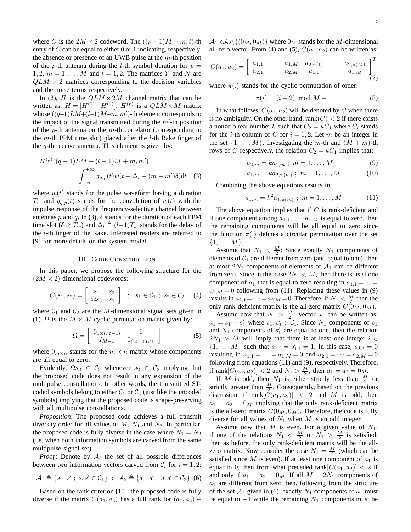where C is the  $2M \times 2$  codeword. The  $((p-1)M + m, t)$ -th entry of  $C$  can be equal to either 0 or 1 indicating, respectively, the absence or presence of an UWB pulse at the  $m$ -th position of the p-th antenna during the t-th symbol duration for  $p =$ 1, 2,  $m = 1, \ldots, M$  and  $t = 1, 2$ . The matrices Y and N are  $QLM \times 2$  matrices corresponding to the decision variables and the noise terms respectively.

In (2), H is the  $QLM \times 2M$  channel matrix that can be written as:  $H = [H^{(1)} \ H^{(2)}]$ .  $H^{(p)}$  is a  $QLM \times M$  matrix whose  $((q-1)LM+(l-1)M+m, m')$ -th element corresponds to the impact of the signal transmitted during the  $m'$ -th position of the p-th antenna on the  $m$ -th correlator (corresponding to the  $m$ -th PPM time slot) placed after the *l*-th Rake finger of the  $q$ -th receive antenna. This element is given by:

$$
H^{(p)}((q-1)LM + (l-1)M + m, m') =
$$
  

$$
\int_{-\infty}^{+\infty} g_{q,p}(t)w(t - \Delta_l - (m - m')\delta)dt
$$
 (3)

where  $w(t)$  stands for the pulse waveform having a duration  $T_w$  and  $g_{q,p}(t)$  stands for the convolution of  $w(t)$  with the impulse response of the frequency-selective channel between antennas p and q. In (3),  $\delta$  stands for the duration of each PPM time slot ( $\delta \geq T_w$ ) and  $\Delta_l \triangleq (l-1)T_w$  stands for the delay of the l-th finger of the Rake. Interested readers are referred to [9] for more details on the system model.

#### III. CODE CONSTRUCTION

In this paper, we propose the following structure for the  $(2M \times 2)$ -dimensional codewords:

$$
C(s_1, s_2) = \left[ \begin{array}{cc} s_1 & s_2 \\ \Omega s_2 & s_1 \end{array} \right] ; s_1 \in C_1 ; s_2 \in C_2 \quad (4)
$$

where  $C_1$  and  $C_2$  are the M-dimensional signal sets given in (1).  $\Omega$  is the  $M \times M$  cyclic permutation matrix given by:

$$
\Omega = \begin{bmatrix} 0_{1 \times (M-1)} & 1 \\ I_{M-1} & 0_{(M-1) \times 1} \end{bmatrix}
$$
 (5)

where  $0_{m \times n}$  stands for the  $m \times n$  matrix whose components are all equal to zero.

Evidently,  $\Omega s_2 \in C_2$  whenever  $s_2 \in C_2$  implying that the proposed code does not result in any expansion of the multipulse constellations. In other words, the transmitted STcoded symbols belong to either  $C_1$  or  $C_2$  (just like the uncoded symbols) implying that the proposed code is shape-preserving with all multipulse constellations.

*Proposition*: The proposed code achieves a full transmit diversity order for all values of  $M$ ,  $N_1$  and  $N_2$ . In particular, the proposed code is fully diverse in the case where  $N_1 = N_2$ (i.e. when both information symbols are carved from the same multipulse signal set).

*Proof*: Denote by  $A_i$  the set of all possible differences between two information vectors carved from  $C_i$  for  $i = 1, 2$ :

$$
\mathcal{A}_1 \triangleq \{s - s' \; ; \; s, s' \in \mathcal{C}_1\} \; ; \; \mathcal{A}_2 \triangleq \{s - s' \; ; \; s, s' \in \mathcal{C}_2\} \tag{6}
$$

Based on the rank criterion [10], the proposed code is fully diverse if the matrix  $C(a_1, a_2)$  has a full rank for  $(a_1, a_2) \in$   $\mathcal{A}_1 \times \mathcal{A}_2 \setminus \{(0_M, 0_M)\}\$  where  $0_M$  stands for the M-dimensional all-zero vector. From (4) and (5),  $C(a_1, a_2)$  can be written as:

$$
C(a_1, a_2) = \begin{bmatrix} a_{1,1} & \cdots & a_{1,M} & a_{2,\pi(1)} & \cdots & a_{2,\pi(M)} \\ a_{2,1} & \cdots & a_{2,M} & a_{1,1} & \cdots & a_{1,M} \end{bmatrix}^T_{(7)}
$$

where  $\pi(.)$  stands for the cyclic permutation of order:

$$
\pi(i) = (i - 2) \mod M + 1 \tag{8}
$$

In what follows,  $C(a_1, a_2)$  will be denoted by C when there is no ambiguity. On the other hand, rank $(C) < 2$  if there exists a nonzero real number k such that  $C_2 = kC_1$  where  $C_i$  stands for the *i*-th column of C for  $i = 1, 2$ . Let m be an integer in the set  $\{1, \ldots, M\}$ . Investigating the m-th and  $(M + m)$ -th rows of C respectively, the relation  $C_2 = kC_1$  implies that:

$$
a_{2,m} = ka_{1,m} \; ; \; m = 1, \dots, M \tag{9}
$$

$$
a_{1,m} = ka_{2,\pi(m)}; \; m = 1,\dots,M \qquad (10)
$$

Combining the above equations results in:

$$
a_{1,m} = k^2 a_{1,\pi(m)} \; ; \; m = 1,\dots,M \qquad (11)
$$

The above equation implies that if  $C$  is rank-deficient and if one component among  $a_{1,1}, \ldots, a_{1,M}$  is equal to zero, then the remaining components will be all equal to zero since the function  $\pi(.)$  defines a circular permutation over the set  $\{1,\ldots,M\}.$ 

Assume that  $N_1 < \frac{M}{2}$ : Since exactly  $N_1$  components of elements of  $C_1$  are different from zero (and equal to one), then at most  $2N_1$  components of elements of  $A_1$  can be different from zero. Since in this case  $2N_1 < M$ , then there is least one component of  $a_1$  that is equal to zero resulting in  $a_{1,1} = \cdots =$  $a_{1,M} = 0$  following from (11). Replacing these values in (9) results in  $a_{2,1} = \cdots = a_{2,M} = 0$ . Therefore, if  $N_1 < \frac{M}{2}$  then the only rank-deficient matrix is the all-zero matrix  $C(\bar{0}_M, 0_M)$ .

Assume now that  $N_1 > \frac{M}{2}$ : Vector  $a_1$  can be written as:  $a_1 = s_1 - s'_1$  where  $s_1, s'_1 \in C_1$ . Since  $N_1$  components of  $s_1$ and  $N_1$  components of  $s'_1$  are equal to one, then the relation  $2N_1 > M$  will imply that there is at least one integer  $i \in$  $\{1, \ldots, M\}$  such that  $s_{1,i} = s'_{1,i} = 1$ . In this case,  $a_{1,i} = 0$ resulting in  $a_{1,1} = \cdots = a_{1,M} = 0$  and  $a_{2,1} = \cdots = a_{2,M} = 0$ following from equations (11) and (9), respectively. Therefore, if rank $[C(a_1, a_2)] < 2$  and  $N_1 > \frac{M}{2}$ , then  $a_1 = a_2 = 0$ <sub>M</sub>.

If M is odd, then  $N_1$  is either strictly less than  $\frac{M}{2}$  or strictly greater than  $\frac{M}{2}$ . Consequently, based on the previous discussion, if  $rank[C(a_1, a_2)] < 2$  and M is odd, then  $a_1 = a_2 = 0_M$  implying that the only rank-deficient matrix is the all-zero matrix  $C(0_M, 0_M)$ . Therefore, the code is fully diverse for all values of  $N_1$  when  $M$  is an odd integer.

Assume now that M is even. For a given value of  $N_1$ , if one of the relations  $N_1 < \frac{M}{2}$  or  $N_1 > \frac{M}{2}$  is satisfied, then as before, the only rank-deficient matrix will be the allzero matrix. Now consider the case  $N_1 = \frac{M}{2}$  (which can be satisfied since  $M$  is even). If at least one component of  $a_1$  is equal to 0, then from what preceded rank  $|C(a_1, a_2)| < 2$  if and only if  $a_1 = a_2 = 0_M$ . If all  $M = 2N_1$  components of  $a_1$  are different from zero then, following from the structure of the set  $A_1$  given in (6), exactly  $N_1$  components of  $a_1$  must be equal to  $+1$  while the remaining  $N_1$  components must be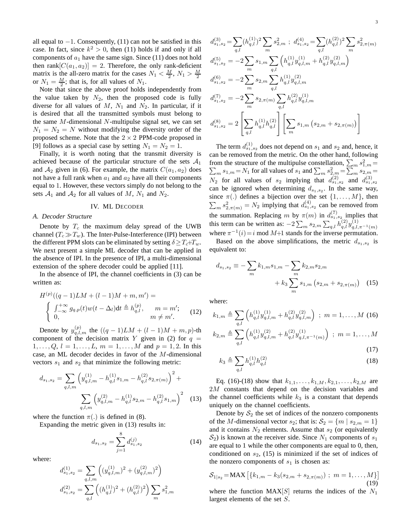all equal to  $-1$ . Consequently, (11) can not be satisfied in this case. In fact, since  $k^2 > 0$ , then (11) holds if and only if all components of  $a_1$  have the same sign. Since (11) does not hold then rank $[C(a_1, a_2)] = 2$ . Therefore, the only rank-deficient matrix is the all-zero matrix for the cases  $N_1 < \frac{M}{2}$ ,  $N_1 > \frac{M}{2}$ or  $N_1 = \frac{M}{2}$ ; that is, for all values of  $N_1$ .

Note that since the above proof holds independently from the value taken by  $N_2$ , then the proposed code is fully diverse for all values of  $M$ ,  $N_1$  and  $N_2$ . In particular, if it is desired that all the transmitted symbols must belong to the same  $M$ -dimensional  $N$ -multipulse signal set, we can set  $N_1 = N_2 = N$  without modifying the diversity order of the proposed scheme. Note that the  $2 \times 2$  PPM-code proposed in [9] follows as a special case by setting  $N_1 = N_2 = 1$ .

Finally, it is worth noting that the transmit diversity is achieved because of the particular structure of the sets  $A_1$ and  $A_2$  given in (6). For example, the matrix  $C(a_1, a_2)$  does not have a full rank when  $a_1$  and  $a_2$  have all their components equal to 1. However, these vectors simply do not belong to the sets  $A_1$  and  $A_2$  for all values of M,  $N_1$  and  $N_2$ .

## IV. ML DECODER

#### *A. Decoder Structure*

Denote by  $T_c$  the maximum delay spread of the UWB channel  $(T_c \gg T_w)$ . The Inter-Pulse-Interference (IPI) between the different PPM slots can be eliminated by setting  $\delta \geq T_c+T_w$ . We next present a simple ML decoder that can be applied in the absence of IPI. In the presence of IPI, a multi-dimensional extension of the sphere decoder could be applied [11].

In the absence of IPI, the channel coefficients in (3) can be written as:

$$
H^{(p)}((q-1)LM + (l-1)M + m, m') =
$$
  

$$
\begin{cases} \int_{-\infty}^{+\infty} g_{q,p}(t)w(t - \Delta_l)dt \triangleq h_{q,l}^{(p)}, & m = m';\\ 0, & m \neq m'. \end{cases}
$$
 (12)

Denote by  $y_{q,l,m}^{(p)}$  the  $((q-1)LM + (l-1)M + m, p)$ -th component of the decision matrix Y given in (2) for  $q =$  $1, \ldots, Q, l = 1, \ldots, L, m = 1, \ldots, M$  and  $p = 1, 2$ . In this case, an ML decoder decides in favor of the M-dimensional vectors  $s_1$  and  $s_2$  that minimize the following metric:

$$
d_{s_1,s_2} = \sum_{q,l,m} \left( y_{q,l,m}^{(1)} - h_{q,l}^{(1)} s_{1,m} - h_{q,l}^{(2)} s_{2,\pi(m)} \right)^2 + \sum_{q,l,m} \left( y_{q,l,m}^{(2)} - h_{q,l}^{(1)} s_{2,m} - h_{q,l}^{(2)} s_{1,m} \right)^2
$$
(13)

where the function  $\pi(.)$  is defined in (8).

Expanding the metric given in (13) results in:

$$
d_{s_1, s_2} = \sum_{j=1}^{8} d_{s_1, s_2}^{(j)} \tag{14}
$$

where:

$$
d_{s_1, s_2}^{(1)} = \sum_{q,l,m} \left( (y_{q,l,m}^{(1)})^2 + (y_{q,l,m}^{(2)})^2 \right)
$$
  

$$
d_{s_1, s_2}^{(2)} = \sum_{q,l} \left( (h_{q,l}^{(1)})^2 + (h_{q,l}^{(2)})^2 \right) \sum_m s_{1,m}^2
$$

$$
d_{s_1,s_2}^{(3)} = \sum_{q,l} (h_{q,l}^{(1)})^2 \sum_m s_{2,m}^2 \; ; \; d_{s_1,s_2}^{(4)} = \sum_{q,l} (h_{q,l}^{(2)})^2 \sum_m s_{2,\pi(m)}^2
$$
  
\n
$$
d_{s_1,s_2}^{(5)} = -2 \sum_m s_{1,m} \sum_{q,l} \left( h_{q,l}^{(1)} y_{q,l,m}^{(1)} + h_{q,l}^{(2)} y_{q,l,m}^{(2)} \right)
$$
  
\n
$$
d_{s_1,s_2}^{(6)} = -2 \sum_m s_{2,m} \sum_{q,l} h_{q,l}^{(1)} y_{q,l,m}^{(2)}
$$
  
\n
$$
d_{s_1,s_2}^{(7)} = -2 \sum_m s_{2,\pi(m)} \sum_{q,l} h_{q,l}^{(2)} y_{q,l,m}^{(1)}
$$
  
\n
$$
d_{s_1,s_2}^{(8)} = 2 \left[ \sum_{q,l} h_{q,l}^{(1)} h_{q,l}^{(2)} \right] \left[ \sum_m s_{1,m} (s_{2,m} + s_{2,\pi(m)}) \right]
$$

The term  $d_{s_1,s_2}^{(1)}$  does not depend on  $s_1$  and  $s_2$  and, hence, it can be removed from the metric. On the other hand, following from the structure of the multipulse constellation,  $\sum_{m} s_{1,m}^2 =$  $\sum_{m} s_{1,m} = N_1$  for all values of  $s_1$  and  $\sum_{m} s_{2,m}^2 = \sum_{m} s_{2,m} =$  $N_2$  for all values of  $s_2$  implying that  $d_{s_1,s_2}^{(2)}$  and  $d_{s_1,s_2}^{(3)}$ can be ignored when determining  $d_{s_1,s_2}$ . In the same way, since  $\pi(.)$  defines a bijection over the set  $\{1, \ldots, M\}$ , then  $\sum_{m} s_{2,\pi(m)}^2 = N_2$  implying that  $d_{s_1,s_2}^{(4)}$  can be removed from the summation. Replacing m by  $\pi(m)$  in  $d_{s_1,s_2}^{(7)}$  implies that this term can be written as:  $-2\sum_{m} s_{2,m} \sum_{q,l} h_{q,l}^{(2)} y_{q,l,\pi^{-1}(m)}^{(1)}$ where  $\pi^{-1}(i) = i \mod M+1$  stands for the inverse permutation.

Based on the above simplifications, the metric  $d_{s_1,s_2}$  is equivalent to:

$$
d_{s_1, s_2} \equiv -\sum_{m} k_{1, m} s_{1, m} - \sum_{m} k_{2, m} s_{2, m} + k_3 \sum_{m} s_{1, m} (s_{2, m} + s_{2, \pi(m)}) \quad (15)
$$

where:

$$
k_{1,m} \triangleq \sum_{q,l} \left( h_{q,l}^{(1)} y_{q,l,m}^{(1)} + h_{q,l}^{(2)} y_{q,l,m}^{(2)} \right) ; \ m = 1, ..., M \ (16)
$$
  

$$
k_{2,m} \triangleq \sum_{q,l} \left( h_{q,l}^{(1)} y_{q,l,m}^{(2)} + h_{q,l}^{(2)} y_{q,l,\pi^{-1}(m)}^{(1)} \right) ; \ m = 1, ..., M \tag{17}
$$

$$
k_3 \triangleq \sum_{q,l} h_{q,l}^{(1)} h_{q,l}^{(2)}
$$
\n(18)

Eq. (16)-(18) show that  $k_{1,1}, \ldots, k_{1,M}, k_{2,1}, \ldots, k_{2,M}$  are 2M constants that depend on the decision variables and the channel coefficients while  $k_3$  is a constant that depends uniquely on the channel coefficients.

Denote by  $S_2$  the set of indices of the nonzero components of the M-dimensional vector  $s_2$ ; that is:  $S_2 = \{m \mid s_{2,m} = 1\}$ and it contains  $N_2$  elements. Assume that  $s_2$  (or equivalently  $S_2$ ) is known at the receiver side. Since  $N_1$  components of  $s_1$ are equal to 1 while the other components are equal to 0, then, conditioned on  $s_2$ , (15) is minimized if the set of indices of the nonzero components of  $s_1$  is chosen as:

$$
S_{1|s_2} = \text{MAX} \left[ \{ k_{1,m} - k_3(s_{2,m} + s_{2,\pi(m)}) \; ; \; m = 1, \dots, M \} \right] \tag{19}
$$

where the function  $MAX[S]$  returns the indices of the  $N_1$ largest elements of the set S.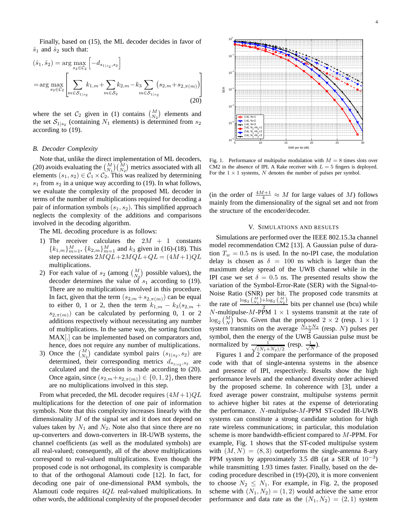Finally, based on (15), the ML decoder decides in favor of  $\hat{s}_1$  and  $\hat{s}_2$  such that:

$$
(\hat{s}_1, \hat{s}_2) = \arg\max_{s_2 \in C_2} \left[ -d_{s_{1|s_2}, s_2} \right]
$$
  
= 
$$
\arg\max_{s_2 \in C_2} \left[ \sum_{m \in S_{1|s_2}} k_{1,m} + \sum_{m \in S_2} k_{2,m} - k_3 \sum_{m \in S_{1|s_2}} (s_{2,m} + s_{2,\pi(m)}) \right]
$$
(20)

where the set  $C_2$  given in (1) contains  $\binom{M}{N_2}$  elements and the set  $S_{1|s_2}$  (containing  $N_1$  elements) is determined from  $s_2$ according to (19).

## *B. Decoder Complexity*

Note that, unlike the direct implementation of ML decoders, (20) avoids evaluating the  $\binom{M}{N_1}\binom{M}{N_2}$  metrics associated with all elements  $(s_1, s_2) \in C_1 \times C_2$ . This was realized by determining  $s_1$  from  $s_2$  in a unique way according to (19). In what follows, we evaluate the complexity of the proposed ML decoder in terms of the number of multiplications required for decoding a pair of information symbols  $(s_1, s_2)$ . This simplified approach neglects the complexity of the additions and comparisons involved in the decoding algorithm.

The ML decoding procedure is as follows:

- 1) The receiver calculates the  $2M + 1$  constants  ${k_{1,m}}_{m=1}^{M}$ ,  ${k_{2,m}}_{m=1}^{M}$  and  $k_3$  given in (16)-(18). This step necessitates  $2\widehat{MQL} + 2MQL +QL = (4M+1)QL$ multiplications.
- 2) For each value of  $s_2$  (among  $\binom{M}{N_2}$  possible values), the decoder determines the value of  $s_1$  according to (19). There are no multiplications involved in this procedure. In fact, given that the term  $(s_{2,m} + s_{2,\pi(m)})$  can be equal to either 0, 1 or 2, then the term  $k_{1,m} - k_3(s_{2,m} +$  $s_{2,\pi(m)}$ ) can be calculated by performing 0, 1 or 2 additions respectively without necessitating any number of multiplications. In the same way, the sorting function MAX[.] can be implemented based on comparators and, hence, does not require any number of multiplications.
- 3) Once the  $\binom{M}{N_2}$  candidate symbol pairs  $(s_{1|s_2}, s_2)$  are determined, their corresponding metrics  $d_{s_{1|s_2}, s_2}$  are calculated and the decision is made according to (20). Once again, since  $(s_{2,m}+s_{2,\pi(m)}) \in \{0,1,2\}$ , then there are no multiplications involved in this step.

From what preceded, the ML decoder requires  $(4M+1)QL$ multiplications for the detection of one pair of information symbols. Note that this complexity increases linearly with the dimensionality M of the signal set and it does not depend on values taken by  $N_1$  and  $N_2$ . Note also that since there are no up-converters and down-converters in IR-UWB systems, the channel coefficients (as well as the modulated symbols) are all real-valued; consequently, all of the above multiplications correspond to real-valued multiplications. Even though the proposed code is not orthogonal, its complexity is comparable to that of the orthogonal Alamouti code [12]. In fact, for decoding one pair of one-dimensional PAM symbols, the Alamouti code requires 4QL real-valued multiplications. In other words, the additional complexity of the proposed decoder



Fig. 1. Performance of multipulse modulation with  $M = 8$  times slots over CM2 in the absence of IPI. A Rake receiver with  $L = 5$  fingers is deployed. For the  $1 \times 1$  systems, N denotes the number of pulses per symbol.

(in the order of  $\frac{4M+1}{4} \approx M$  for large values of M) follows mainly from the dimensionality of the signal set and not from the structure of the encoder/decoder.

## V. SIMULATIONS AND RESULTS

Simulations are performed over the IEEE 802.15.3a channel model recommendation CM2 [13]. A Gaussian pulse of duration  $T_w = 0.5$  ns is used. In the no-IPI case, the modulation delay is chosen as  $\delta = 100$  ns which is larger than the maximum delay spread of the UWB channel while in the IPI case we set  $\delta = 0.5$  ns. The presented results show the variation of the Symbol-Error-Rate (SER) with the Signal-to-Noise Ratio (SNR) per bit. The proposed code transmits at the rate of  $\frac{\log_2 {M \choose N_1} + \log_2 {M \choose N_2}}{2}$  $\frac{1}{2}$   $\frac{1}{2}$  bits per channel use (bcu) while N-multipulse-M-PPM  $1 \times 1$  systems transmit at the rate of  $\log_2\left(\frac{M}{N}\right)$  bcu. Given that the proposed  $2 \times 2$  (resp.  $1 \times 1$ ) system transmits on the average  $\frac{N_1+N_2}{2}$  (resp. N) pulses per system transmits on the average  $\frac{2}{2}$  (resp. 1v) pulses per symbol, then the energy of the UWB Gaussian pulse must be normalized by  $\frac{1}{\sqrt{(N_1+1)}}$  $\frac{1}{(N_1+N_2)/2}$  (resp.  $\frac{1}{\sqrt{N}}$  $\frac{1}{N}$ ).

Figures 1 and 2 compare the performance of the proposed code with that of single-antenna systems in the absence and presence of IPI, respectively. Results show the high performance levels and the enhanced diversity order achieved by the proposed scheme. In coherence with [3], under a fixed average power constraint, multipulse systems permit to achieve higher bit rates at the expense of deteriorating the performance. N-multipulse-M-PPM ST-coded IR-UWB systems can constitute a strong candidate solution for high rate wireless communications; in particular, this modulation scheme is more bandwidth-efficient compared to M-PPM. For example, Fig. 1 shows that the ST-coded multipulse system with  $(M, N) = (8, 3)$  outperforms the single-antenna 8-ary PPM system by approximately 3.5 dB (at a SER of  $10^{-3}$ ) while transmitting 1.93 times faster. Finally, based on the decoding procedure described in (19)-(20), it is more convenient to choose  $N_2 \leq N_1$ . For example, in Fig. 2, the proposed scheme with  $(N_1, N_2) = (1, 2)$  would achieve the same error performance and data rate as the  $(N_1, N_2) = (2, 1)$  system